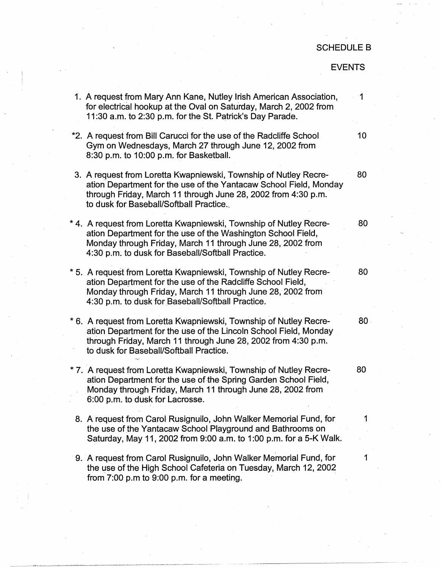## SCHEDULE B

## EVENTS

| 1. A request from Mary Ann Kane, Nutley Irish American Association,<br>for electrical hookup at the Oval on Saturday, March 2, 2002 from<br>11:30 a.m. to 2:30 p.m. for the St. Patrick's Day Parade.                                                 | 1      |
|-------------------------------------------------------------------------------------------------------------------------------------------------------------------------------------------------------------------------------------------------------|--------|
| *2. A request from Bill Carucci for the use of the Radcliffe School<br>Gym on Wednesdays, March 27 through June 12, 2002 from<br>8:30 p.m. to 10:00 p.m. for Basketball.                                                                              | 10     |
| 3. A request from Loretta Kwapniewski, Township of Nutley Recre-<br>ation Department for the use of the Yantacaw School Field, Monday<br>through Friday, March 11 through June 28, 2002 from 4:30 p.m.<br>to dusk for Baseball/Softball Practice.     | 80     |
| * 4. A request from Loretta Kwapniewski, Township of Nutley Recre-<br>ation Department for the use of the Washington School Field,<br>Monday through Friday, March 11 through June 28, 2002 from<br>4:30 p.m. to dusk for Baseball/Softball Practice. | 80     |
| * 5. A request from Loretta Kwapniewski, Township of Nutley Recre-<br>ation Department for the use of the Radcliffe School Field,<br>Monday through Friday, March 11 through June 28, 2002 from<br>4:30 p.m. to dusk for Baseball/Softball Practice.  | 80     |
| * 6. A request from Loretta Kwapniewski, Township of Nutley Recre-<br>ation Department for the use of the Lincoln School Field, Monday<br>through Friday, March 11 through June 28, 2002 from 4:30 p.m.<br>to dusk for Baseball/Softball Practice.    | $80 -$ |
| * 7. A request from Loretta Kwapniewski, Township of Nutley Recre-<br>ation Department for the use of the Spring Garden School Field,<br>Monday through Friday, March 11 through June 28, 2002 from<br>6:00 p.m. to dusk for Lacrosse.                | 80     |
| 8. A request from Carol Rusignuilo, John Walker Memorial Fund, for<br>the use of the Yantacaw School Playground and Bathrooms on<br>Saturday, May 11, 2002 from 9:00 a.m. to 1:00 p.m. for a 5-K Walk.                                                | 1      |
| 9. A request from Carol Rusignuilo, John Walker Memorial Fund, for<br>the use of the High School Cafeteria on Tuesday, March 12, 2002<br>from $7:00$ p.m to $9:00$ p.m. for a meeting.                                                                | 1      |
|                                                                                                                                                                                                                                                       |        |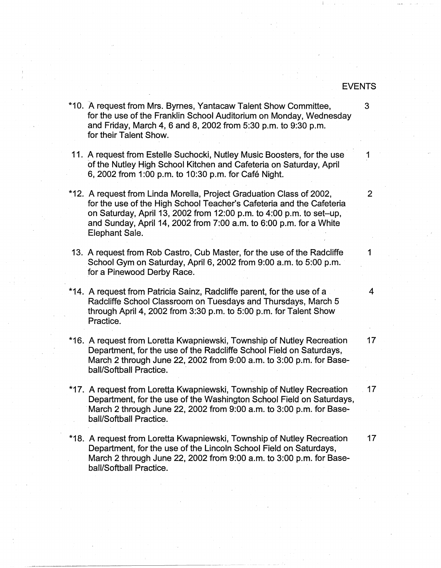## EVENTS

\*10. A request from Mrs. Byrnes, Yantacaw Talent Show Committee, 3 for the use of the Franklin School Auditorium on Monday, Wednesday and Friday, March 4, 6 and 8, 2002 from 5:30 p.m. to 9:30 p.m. for their Talent Show. 11. A request from Estelle Suchocki, Nutley Music Boosters, for the use 1 of the Nutley High School Kitchen and Cafeteria on Saturday, April 6, 2002 from 1 :00 p.m. to 10:30 p.m. for Cafe Night. \*12. A request from Linda Morella, Project Graduation Class of 2002, 2 for the use of the High School Teacher's Cafeteria and the Cafeteria on Saturday, April 13, 2002 from 12:00 p.m. to 4:00 p.m. to set-up, and Sunday, April 14, 2002 from 7:00 a.m. to 6:00 p.m. for a White Elephant Sale. 13. A request from Rob Castro, Cub Master, for the use of the Radcliffe 1 School Gym on Saturday, April 6, 2002 from 9:00 a.m. to 5:00 p.m. for a Pinewood Derby Race. \*14. A request from Patricia Sainz, Radcliffe parent, for the use of a 4 Radcliffe School Classroom on Tuesdays and Thursdays, March 5 through April 4, 2002 from 3:30 p.m. to 5:00 p.m. for Talent Show Practice. \*16. A request from Loretta Kwapniewski, Township of Nutley Recreation 17 Department, for the use of the Radcliffe School Field on Saturdays, March 2 through June 22, 2002 from 9:00 a.m. to 3:00 p.m. for Baseball/Softball Practice. \*17. A request from Loretta Kwapniewski, Township of Nutley Recreation . 17 Department, for the use of the Washington School Field on Saturdays, · March 2 through June 22, 2002 from 9:00 a.m. to 3:00 p.m. for Baseball/Softball Practice. \*18. A request from Loretta Kwapniewski, Township of Nutley Recreation 17 Department, for the use of the Lincoln School Field on Saturdays, March 2 through June 22, 2002 from 9:00 a.m. to 3:00 p.m. for Base-

ball/Softball Practice.